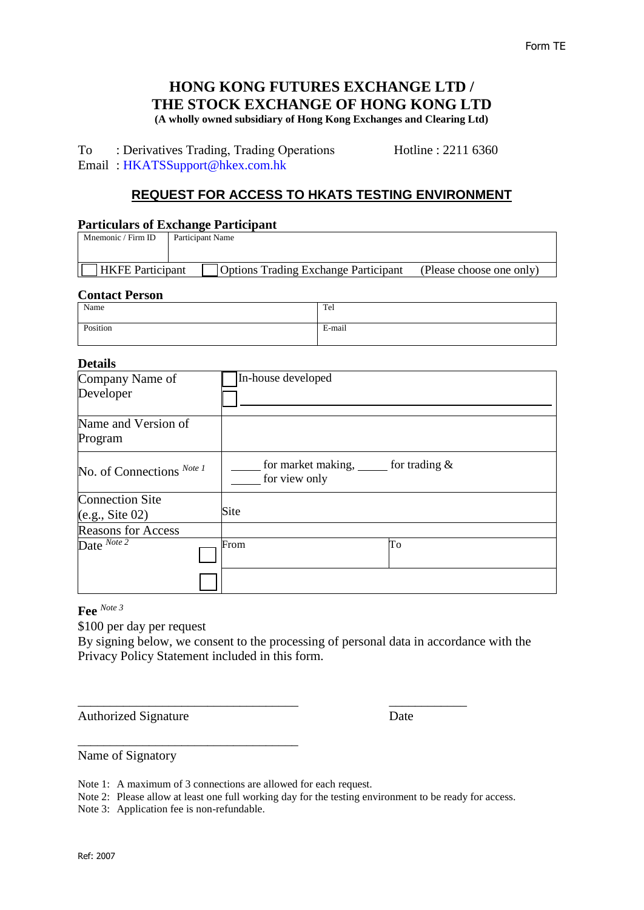# **HONG KONG FUTURES EXCHANGE LTD / THE STOCK EXCHANGE OF HONG KONG LTD (A wholly owned subsidiary of Hong Kong Exchanges and Clearing Ltd)**

To : Derivatives Trading, Trading Operations Hotline : 2211 6360 Email : [HKATSSupport@hkex.com.hk](mailto:HKATSSupport@hkex.com.hk) 

# **REQUEST FOR ACCESS TO HKATS TESTING ENVIRONMENT**

# **Particulars of Exchange Participant**

| Mnemonic / Firm ID      | Participant Name                            |                          |  |
|-------------------------|---------------------------------------------|--------------------------|--|
|                         |                                             |                          |  |
|                         |                                             |                          |  |
| <b>HKFE</b> Participant | <b>Options Trading Exchange Participant</b> | (Please choose one only) |  |

# **Contact Person**

| Name     | Tel    |
|----------|--------|
| Position | E-mail |

# **Details**

| рсинэ                     |                                                                 |
|---------------------------|-----------------------------------------------------------------|
| Company Name of           | In-house developed                                              |
| Developer                 |                                                                 |
| Name and Version of       |                                                                 |
| Program                   |                                                                 |
| No. of Connections Note 1 | for market making, $\frac{1}{2}$ for trading &<br>for view only |
| <b>Connection Site</b>    |                                                                 |
| (e.g., Site 02)           | Site                                                            |
| <b>Reasons for Access</b> |                                                                 |
| Date $\frac{Note\ 2}{?}$  | From<br>To                                                      |
|                           |                                                                 |

**Fee** *Note 3*

\$100 per day per request

By signing below, we consent to the processing of personal data in accordance with the Privacy Policy Statement included in this form.

\_\_\_\_\_\_\_\_\_\_\_\_\_\_\_\_\_\_\_\_\_\_\_\_\_\_\_\_\_\_\_\_\_\_ \_\_\_\_\_\_\_\_\_\_\_\_

Authorized Signature Date

Name of Signatory

Note 1: A maximum of 3 connections are allowed for each request.

Note 2: Please allow at least one full working day for the testing environment to be ready for access.

Note 3: Application fee is non-refundable.

\_\_\_\_\_\_\_\_\_\_\_\_\_\_\_\_\_\_\_\_\_\_\_\_\_\_\_\_\_\_\_\_\_\_